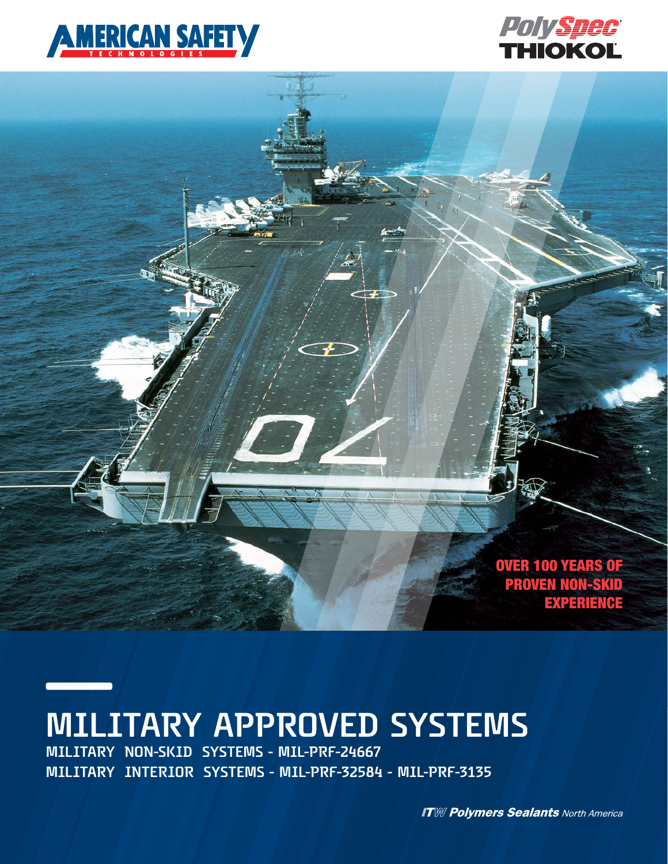



OVER 100 YEARS OF PROVEN NON-SKID **EXPERIENCE** 

# **MILITARY APPROVED SYSTEMS**

**MILITARY NON-SKID SYSTEMS - MIL-PRF-24667 MILITARY INTERIOR SYSTEMS - MIL-PRF-32584 - MIL-PRF-3135**

**ITW Polymers Sealants North America**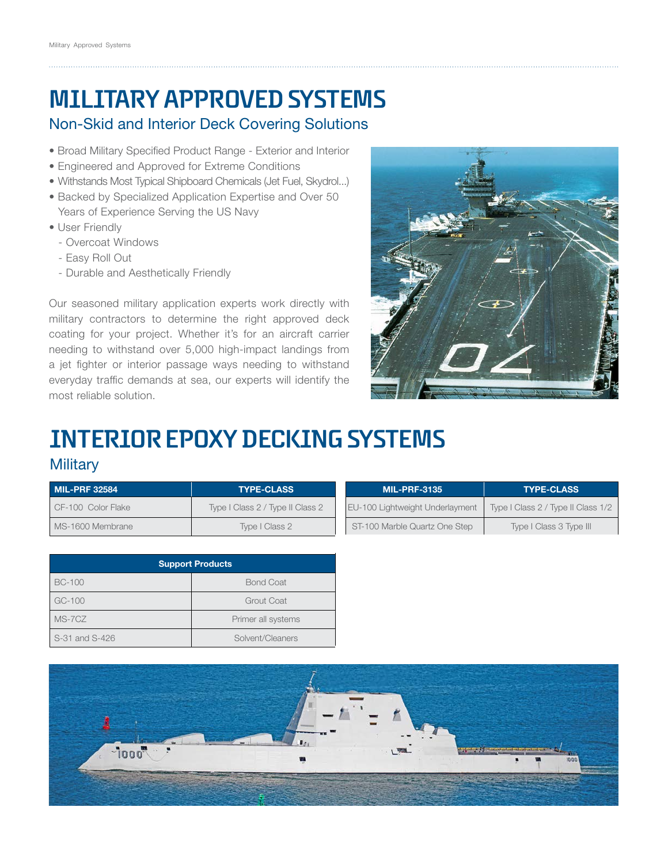## **MILITARY APPROVED SYSTEMS**

### Non-Skid and Interior Deck Covering Solutions

- Broad Military Specified Product Range Exterior and Interior
- Engineered and Approved for Extreme Conditions
- Withstands Most Typical Shipboard Chemicals (Jet Fuel, Skydrol...)
- Backed by Specialized Application Expertise and Over 50 Years of Experience Serving the US Navy
- User Friendly
	- Overcoat Windows
	- Easy Roll Out
	- Durable and Aesthetically Friendly

Our seasoned military application experts work directly with military contractors to determine the right approved deck coating for your project. Whether it's for an aircraft carrier needing to withstand over 5,000 high-impact landings from a jet fighter or interior passage ways needing to withstand everyday traffic demands at sea, our experts will identify the most reliable solution.



### **INTERIOR EPOXY DECKING SYSTEMS Military**

| <b>MIL-PRF 32584</b> | <b>TYPE-CLASS</b>                | <b>MIL-PRF-3135</b>             | <b>TYPE-CLASS</b>                  |  |  |
|----------------------|----------------------------------|---------------------------------|------------------------------------|--|--|
| CF-100 Color Flake   | Type I Class 2 / Type II Class 2 | EU-100 Lightweight Underlayment | Type I Class 2 / Type II Class 1/2 |  |  |
| MS-1600 Membrane     | Type I Class 2                   | ST-100 Marble Quartz One Step   | Type I Class 3 Type III            |  |  |

|                | <b>Support Products</b> |  |  |
|----------------|-------------------------|--|--|
| <b>BC-100</b>  | <b>Bond Coat</b>        |  |  |
| GC-100         | Grout Coat              |  |  |
| MS-7CZ         | Primer all systems      |  |  |
| S-31 and S-426 | Solvent/Cleaners        |  |  |

| MIL-PRF-3135                    | I YPE-CLASS                        |  |  |
|---------------------------------|------------------------------------|--|--|
| EU-100 Lightweight Underlayment | Type I Class 2 / Type II Class 1/2 |  |  |
| ST-100 Marble Quartz One Step   | Type I Class 3 Type III            |  |  |

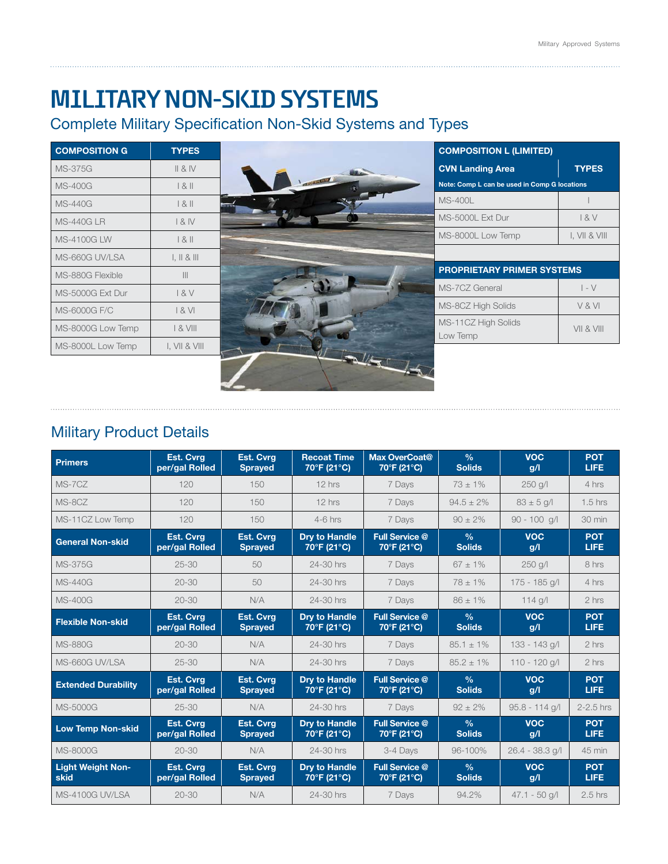### **MILITARY NON-SKID SYSTEMS**

L

### Complete Military Specification Non-Skid Systems and Types

| <b>COMPOSITION G</b> | <b>TYPES</b>   |                | <b>COMPOSITION L (LIMITED)</b>               |               |  |
|----------------------|----------------|----------------|----------------------------------------------|---------------|--|
| <b>MS-375G</b>       | II 8 IV        |                | <b>CVN Landing Area</b>                      | <b>TYPES</b>  |  |
| <b>MS-400G</b>       | 181            | <b>COLUMNY</b> | Note: Comp L can be used in Comp G locations |               |  |
| <b>MS-440G</b>       | 181            |                | <b>MS-400L</b>                               |               |  |
| <b>MS-440G LR</b>    | & IV           |                | MS-5000L Ext Dur                             | 18V           |  |
| <b>MS-4100G LW</b>   | 181            |                | MS-8000L Low Temp                            | I, VII & VIII |  |
| MS-660G UV/LSA       | 1.11 & 8.111   |                |                                              |               |  |
| MS-880G Flexible     | $\mathbf{III}$ |                | <b>PROPRIETARY PRIMER SYSTEMS</b>            |               |  |
| MS-5000G Ext Dur     | 8V             |                | MS-7CZ General                               | $I - V$       |  |
| MS-6000G F/C         | 8V             |                | MS-8CZ High Solids                           | V&VI          |  |
| MS-8000G Low Temp    | $8$ VIII       |                | MS-11CZ High Solids                          | VII & VIII    |  |
| MS-8000L Low Temp    | I, VII & VIII  |                | Low Temp                                     |               |  |

### Military Product Details

| <b>Primers</b>                   | <b>Est. Cvrg</b><br>per/gal Rolled | <b>Est. Cvrg</b><br><b>Sprayed</b> | <b>Recoat Time</b><br>$70^{\circ}$ F (21 $^{\circ}$ C) | Max OverCoat@<br>70°F (21°C)         | $\frac{0}{0}$<br><b>Solids</b> | <b>VOC</b><br>g/l | <b>POT</b><br><b>LIFE</b> |
|----------------------------------|------------------------------------|------------------------------------|--------------------------------------------------------|--------------------------------------|--------------------------------|-------------------|---------------------------|
| MS-7CZ                           | 120                                | 150                                | 12 hrs                                                 | 7 Days                               | $73 \pm 1\%$                   | 250 g/l           | 4 hrs                     |
| MS-8CZ                           | 120                                | 150                                | $12$ hrs                                               | 7 Days                               | $94.5 + 2\%$                   | $83 \pm 5$ g/l    | $1.5$ hrs                 |
| MS-11CZ Low Temp                 | 120                                | 150                                | $4-6$ hrs                                              | 7 Days                               | $90 + 2\%$                     | $90 - 100$ a/l    | $30 \text{ min}$          |
| <b>General Non-skid</b>          | <b>Est. Cvrg</b><br>per/gal Rolled | Est. Cvrg<br><b>Sprayed</b>        | <b>Dry to Handle</b><br>70°F (21°C)                    | Full Service @<br>70°F (21°C)        | $\frac{0}{0}$<br><b>Solids</b> | <b>VOC</b><br>g/l | <b>POT</b><br><b>LIFE</b> |
| <b>MS-375G</b>                   | $25 - 30$                          | 50                                 | 24-30 hrs                                              | 7 Days                               | $67 + 1\%$                     | $250$ g/l         | 8 hrs                     |
| MS-440G                          | $20 - 30$                          | 50                                 | 24-30 hrs                                              | 7 Days                               | $78 \pm 1\%$                   | 175 - 185 g/l     | 4 hrs                     |
| <b>MS-400G</b>                   | $20 - 30$                          | N/A                                | 24-30 hrs                                              | 7 Days                               | $86 \pm 1\%$                   | 114 g/l           | 2 hrs                     |
| <b>Flexible Non-skid</b>         | <b>Est. Cvrg</b><br>per/gal Rolled | <b>Est. Cvrg</b><br><b>Sprayed</b> | <b>Dry to Handle</b><br>$\overline{70}$ °F (21°C)      | <b>Full Service @</b><br>70°F (21°C) | $\frac{0}{0}$<br><b>Solids</b> | <b>VOC</b><br>g/l | <b>POT</b><br><b>LIFE</b> |
| <b>MS-880G</b>                   | $20 - 30$                          | N/A                                | 24-30 hrs                                              | 7 Days                               | $85.1 \pm 1\%$                 | 133 - 143 g/l     | 2 hrs                     |
| MS-660G UV/LSA                   | $25 - 30$                          | N/A                                | 24-30 hrs                                              | 7 Days                               | $85.2 \pm 1\%$                 | $110 - 120$ a/l   | 2 hrs                     |
| <b>Extended Durability</b>       | <b>Est. Cvrg</b><br>per/gal Rolled | <b>Est. Cvra</b><br><b>Sprayed</b> | <b>Dry to Handle</b><br>70°F (21°C)                    | Full Service @<br>70°F (21°C)        | $\frac{0}{6}$<br><b>Solids</b> | <b>VOC</b><br>g/l | <b>POT</b><br><b>LIFE</b> |
| MS-5000G                         | $25 - 30$                          | N/A                                | 24-30 hrs                                              | 7 Davs                               | $92 \pm 2\%$                   | $95.8 - 114$ g/l  | $2-2.5$ hrs               |
| <b>Low Temp Non-skid</b>         | <b>Est. Cvrg</b><br>per/gal Rolled | <b>Est. Cvrg</b><br><b>Sprayed</b> | <b>Dry to Handle</b><br>70°F (21°C)                    | Full Service @<br>70°F (21°C)        | $\frac{0}{6}$<br><b>Solids</b> | <b>VOC</b><br>g/l | <b>POT</b><br><b>LIFE</b> |
| MS-8000G                         | $20 - 30$                          | N/A                                | 24-30 hrs                                              | 3-4 Days                             | 96-100%                        | 26.4 - 38.3 g/l   | 45 min                    |
| <b>Light Weight Non-</b><br>skid | <b>Est. Cvra</b><br>per/gal Rolled | <b>Est. Cvrg</b><br><b>Sprayed</b> | <b>Dry to Handle</b><br>70°F (21°C)                    | <b>Full Service @</b><br>70°F (21°C) | $\frac{0}{0}$<br><b>Solids</b> | <b>VOC</b><br>g/l | <b>POT</b><br><b>LIFE</b> |
| MS-4100G UV/LSA                  | $20 - 30$                          | N/A                                | 24-30 hrs                                              | 7 Days                               | 94.2%                          | $47.1 - 50$ g/l   | $2.5$ hrs                 |